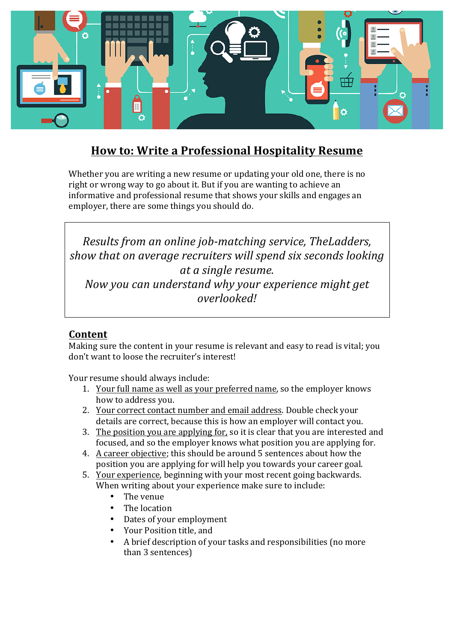

# **How to: Write a Professional Hospitality Resume**

Whether you are writing a new resume or updating your old one, there is no right or wrong way to go about it. But if you are wanting to achieve an informative and professional resume that shows your skills and engages an employer, there are some things you should do.

*Results from an online job-matching service, TheLadders,* show that on average recruiters will spend six seconds *looking at a single resume. Now you can understand why your experience might get overlooked!*

## **Content**

Making sure the content in vour resume is relevant and easy to read is vital; you don't want to loose the recruiter's interest!

Your resume should always include:

- 1. Your full name as well as your preferred name, so the employer knows how to address you.
- 2. Your correct contact number and email address. Double check your details are correct, because this is how an employer will contact you.
- 3. The position you are applying for, so it is clear that you are interested and focused, and so the employer knows what position you are applying for.
- 4. A career objective; this should be around 5 sentences about how the position you are applying for will help you towards your career goal.
- 5. Your experience, beginning with your most recent going backwards. When writing about your experience make sure to include:
	- The venue
	- The location
	- Dates of your employment
	- Your Position title, and
	- A brief description of your tasks and responsibilities (no more than 3 sentences)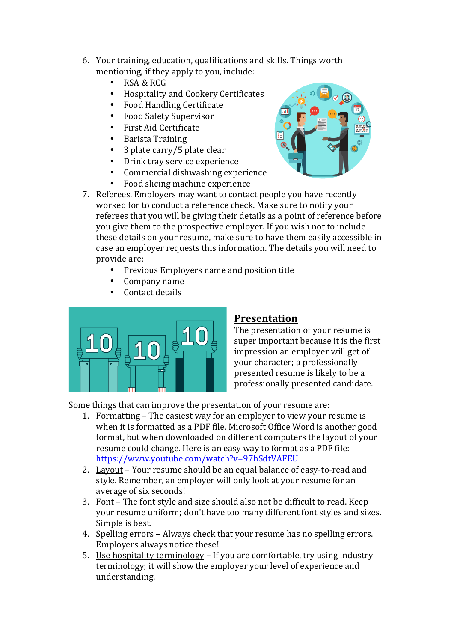- 6. Your training, education, qualifications and skills. Things worth mentioning, if they apply to you, include:
	- RSA & RCG
	- Hospitality and Cookery Certificates
	- Food Handling Certificate
	- Food Safety Supervisor
	- First Aid Certificate
	- Barista Training
	- 3 plate carry/5 plate clear
	- Drink tray service experience
	- Commercial dishwashing experience
	- Food slicing machine experience
- 7. Referees. Employers may want to contact people you have recently worked for to conduct a reference check. Make sure to notify your referees that you will be giving their details as a point of reference before you give them to the prospective employer. If you wish not to include these details on your resume, make sure to have them easily accessible in case an employer requests this information. The details you will need to provide are:
	- Previous Employers name and position title
	- Company name
	- Contact details



#### **Presentation**

The presentation of your resume is super important because it is the first impression an employer will get of your character; a professionally presented resume is likely to be a professionally presented candidate.

Some things that can improve the presentation of your resume are:

- 1. Formatting The easiest way for an employer to view your resume is when it is formatted as a PDF file. Microsoft Office Word is another good format, but when downloaded on different computers the layout of your resume could change. Here is an easy way to format as a PDF file: https://www.youtube.com/watch?v=97hSdtVAFEU
- 2. Layout Your resume should be an equal balance of easy-to-read and style. Remember, an employer will only look at your resume for an average of six seconds!
- 3. Font The font style and size should also not be difficult to read. Keep your resume uniform; don't have too many different font styles and sizes. Simple is best.
- 4. Spelling errors Always check that your resume has no spelling errors. Employers always notice these!
- 5. Use hospitality terminology If you are comfortable, try using industry terminology; it will show the employer your level of experience and understanding.